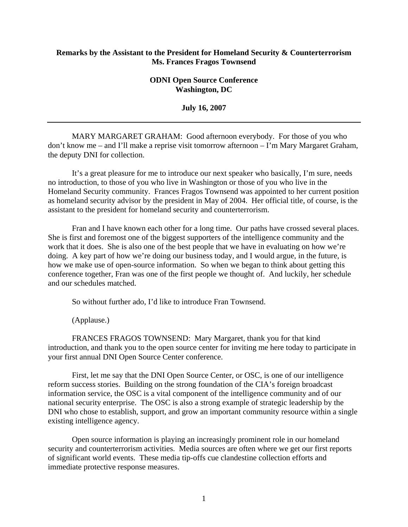## **Remarks by the Assistant to the President for Homeland Security & Counterterrorism Ms. Frances Fragos Townsend**

## **ODNI Open Source Conference Washington, DC**

**July 16, 2007** 

MARY MARGARET GRAHAM: Good afternoon everybody. For those of you who don't know me – and I'll make a reprise visit tomorrow afternoon – I'm Mary Margaret Graham, the deputy DNI for collection.

It's a great pleasure for me to introduce our next speaker who basically, I'm sure, needs no introduction, to those of you who live in Washington or those of you who live in the Homeland Security community. Frances Fragos Townsend was appointed to her current position as homeland security advisor by the president in May of 2004. Her official title, of course, is the assistant to the president for homeland security and counterterrorism.

Fran and I have known each other for a long time. Our paths have crossed several places. She is first and foremost one of the biggest supporters of the intelligence community and the work that it does. She is also one of the best people that we have in evaluating on how we're doing. A key part of how we're doing our business today, and I would argue, in the future, is how we make use of open-source information. So when we began to think about getting this conference together, Fran was one of the first people we thought of. And luckily, her schedule and our schedules matched.

So without further ado, I'd like to introduce Fran Townsend.

(Applause.)

FRANCES FRAGOS TOWNSEND: Mary Margaret, thank you for that kind introduction, and thank you to the open source center for inviting me here today to participate in your first annual DNI Open Source Center conference.

First, let me say that the DNI Open Source Center, or OSC, is one of our intelligence reform success stories. Building on the strong foundation of the CIA's foreign broadcast information service, the OSC is a vital component of the intelligence community and of our national security enterprise. The OSC is also a strong example of strategic leadership by the DNI who chose to establish, support, and grow an important community resource within a single existing intelligence agency.

Open source information is playing an increasingly prominent role in our homeland security and counterterrorism activities. Media sources are often where we get our first reports of significant world events. These media tip-offs cue clandestine collection efforts and immediate protective response measures.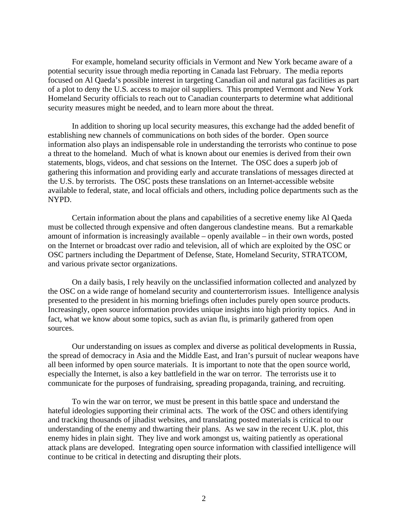For example, homeland security officials in Vermont and New York became aware of a potential security issue through media reporting in Canada last February. The media reports focused on Al Qaeda's possible interest in targeting Canadian oil and natural gas facilities as part of a plot to deny the U.S. access to major oil suppliers. This prompted Vermont and New York Homeland Security officials to reach out to Canadian counterparts to determine what additional security measures might be needed, and to learn more about the threat.

In addition to shoring up local security measures, this exchange had the added benefit of establishing new channels of communications on both sides of the border. Open source information also plays an indispensable role in understanding the terrorists who continue to pose a threat to the homeland. Much of what is known about our enemies is derived from their own statements, blogs, videos, and chat sessions on the Internet. The OSC does a superb job of gathering this information and providing early and accurate translations of messages directed at the U.S. by terrorists. The OSC posts these translations on an Internet-accessible website available to federal, state, and local officials and others, including police departments such as the NYPD.

Certain information about the plans and capabilities of a secretive enemy like Al Qaeda must be collected through expensive and often dangerous clandestine means. But a remarkable amount of information is increasingly available – openly available – in their own words, posted on the Internet or broadcast over radio and television, all of which are exploited by the OSC or OSC partners including the Department of Defense, State, Homeland Security, STRATCOM, and various private sector organizations.

On a daily basis, I rely heavily on the unclassified information collected and analyzed by the OSC on a wide range of homeland security and counterterrorism issues. Intelligence analysis presented to the president in his morning briefings often includes purely open source products. Increasingly, open source information provides unique insights into high priority topics. And in fact, what we know about some topics, such as avian flu, is primarily gathered from open sources.

Our understanding on issues as complex and diverse as political developments in Russia, the spread of democracy in Asia and the Middle East, and Iran's pursuit of nuclear weapons have all been informed by open source materials. It is important to note that the open source world, especially the Internet, is also a key battlefield in the war on terror. The terrorists use it to communicate for the purposes of fundraising, spreading propaganda, training, and recruiting.

To win the war on terror, we must be present in this battle space and understand the hateful ideologies supporting their criminal acts. The work of the OSC and others identifying and tracking thousands of jihadist websites, and translating posted materials is critical to our understanding of the enemy and thwarting their plans. As we saw in the recent U.K. plot, this enemy hides in plain sight. They live and work amongst us, waiting patiently as operational attack plans are developed. Integrating open source information with classified intelligence will continue to be critical in detecting and disrupting their plots.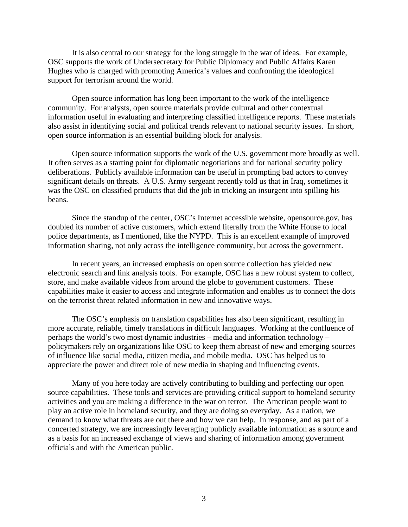It is also central to our strategy for the long struggle in the war of ideas. For example, OSC supports the work of Undersecretary for Public Diplomacy and Public Affairs Karen Hughes who is charged with promoting America's values and confronting the ideological support for terrorism around the world.

Open source information has long been important to the work of the intelligence community. For analysts, open source materials provide cultural and other contextual information useful in evaluating and interpreting classified intelligence reports. These materials also assist in identifying social and political trends relevant to national security issues. In short, open source information is an essential building block for analysis.

Open source information supports the work of the U.S. government more broadly as well. It often serves as a starting point for diplomatic negotiations and for national security policy deliberations. Publicly available information can be useful in prompting bad actors to convey significant details on threats. A U.S. Army sergeant recently told us that in Iraq, sometimes it was the OSC on classified products that did the job in tricking an insurgent into spilling his beans.

Since the standup of the center, OSC's Internet accessible website, opensource.gov, has doubled its number of active customers, which extend literally from the White House to local police departments, as I mentioned, like the NYPD. This is an excellent example of improved information sharing, not only across the intelligence community, but across the government.

In recent years, an increased emphasis on open source collection has yielded new electronic search and link analysis tools. For example, OSC has a new robust system to collect, store, and make available videos from around the globe to government customers. These capabilities make it easier to access and integrate information and enables us to connect the dots on the terrorist threat related information in new and innovative ways.

The OSC's emphasis on translation capabilities has also been significant, resulting in more accurate, reliable, timely translations in difficult languages. Working at the confluence of perhaps the world's two most dynamic industries – media and information technology – policymakers rely on organizations like OSC to keep them abreast of new and emerging sources of influence like social media, citizen media, and mobile media. OSC has helped us to appreciate the power and direct role of new media in shaping and influencing events.

Many of you here today are actively contributing to building and perfecting our open source capabilities. These tools and services are providing critical support to homeland security activities and you are making a difference in the war on terror. The American people want to play an active role in homeland security, and they are doing so everyday. As a nation, we demand to know what threats are out there and how we can help. In response, and as part of a concerted strategy, we are increasingly leveraging publicly available information as a source and as a basis for an increased exchange of views and sharing of information among government officials and with the American public.